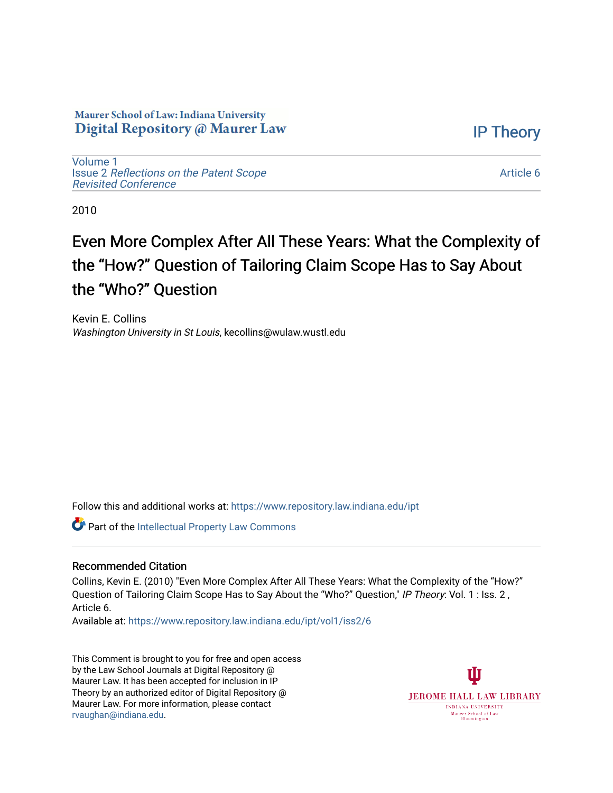## Maurer School of Law: Indiana University Digital Repository @ Maurer Law

[Volume 1](https://www.repository.law.indiana.edu/ipt/vol1) Issue 2 [Reflections on the Patent Scope](https://www.repository.law.indiana.edu/ipt/vol1/iss2)  [Revisited Conference](https://www.repository.law.indiana.edu/ipt/vol1/iss2)

[Article 6](https://www.repository.law.indiana.edu/ipt/vol1/iss2/6) 

[IP Theory](https://www.repository.law.indiana.edu/ipt) 

2010

## Even More Complex After All These Years: What the Complexity of the "How?" Question of Tailoring Claim Scope Has to Say About the "Who?" Question

Kevin E. Collins Washington University in St Louis, kecollins@wulaw.wustl.edu

Follow this and additional works at: [https://www.repository.law.indiana.edu/ipt](https://www.repository.law.indiana.edu/ipt?utm_source=www.repository.law.indiana.edu%2Fipt%2Fvol1%2Fiss2%2F6&utm_medium=PDF&utm_campaign=PDFCoverPages) 

**Part of the Intellectual Property Law Commons** 

## Recommended Citation

Collins, Kevin E. (2010) "Even More Complex After All These Years: What the Complexity of the "How?" Question of Tailoring Claim Scope Has to Say About the "Who?" Question," IP Theory: Vol. 1 : Iss. 2, Article 6.

Available at: [https://www.repository.law.indiana.edu/ipt/vol1/iss2/6](https://www.repository.law.indiana.edu/ipt/vol1/iss2/6?utm_source=www.repository.law.indiana.edu%2Fipt%2Fvol1%2Fiss2%2F6&utm_medium=PDF&utm_campaign=PDFCoverPages) 

This Comment is brought to you for free and open access by the Law School Journals at Digital Repository @ Maurer Law. It has been accepted for inclusion in IP Theory by an authorized editor of Digital Repository @ Maurer Law. For more information, please contact [rvaughan@indiana.edu.](mailto:rvaughan@indiana.edu)

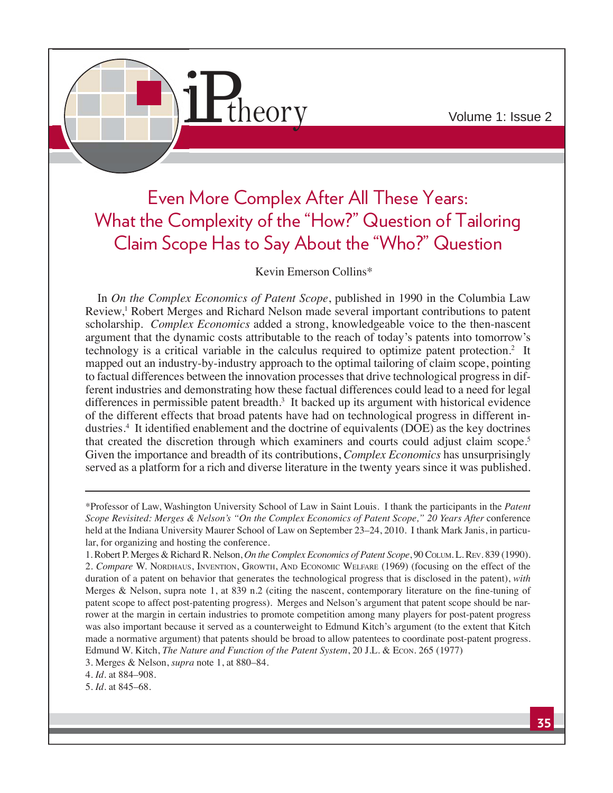

## Even More Complex After All These Years: What the Complexity of the "How?" Question of Tailoring Claim Scope Has to Say About the "Who?" Question

Kevin Emerson Collins\*

In *On the Complex Economics of Patent Scope*, published in 1990 in the Columbia Law Review,<sup>1</sup> Robert Merges and Richard Nelson made several important contributions to patent scholarship. *Complex Economics* added a strong, knowledgeable voice to the then-nascent argument that the dynamic costs attributable to the reach of today's patents into tomorrow's technology is a critical variable in the calculus required to optimize patent protection.<sup>2</sup> It mapped out an industry-by-industry approach to the optimal tailoring of claim scope, pointing to factual differences between the innovation processes that drive technological progress in different industries and demonstrating how these factual differences could lead to a need for legal differences in permissible patent breadth.<sup>3</sup> It backed up its argument with historical evidence of the different effects that broad patents have had on technological progress in different industries.<sup>4</sup> It identified enablement and the doctrine of equivalents (DOE) as the key doctrines that created the discretion through which examiners and courts could adjust claim scope.<sup>5</sup> Given the importance and breadth of its contributions, *Complex Economics* has unsurprisingly served as a platform for a rich and diverse literature in the twenty years since it was published.

3. Merges & Nelson, *supra* note 1, at 880–84.

4. *Id*. at 884–908.

5. *Id*. at 845-68.

<sup>\*</sup>Professor of Law, Washington University School of Law in Saint Louis. I thank the participants in the *Patent Scope Revisited: Merges & Nelson's "On the Complex Economics of Patent Scope," 20 Years After* conference held at the Indiana University Maurer School of Law on September 23–24, 2010. I thank Mark Janis, in particular, for organizing and hosting the conference.

<sup>1.</sup> Robert P. Merges & Richard R. Nelson, On the Complex Economics of Patent Scope, 90 COLUM. L. REV. 839 (1990). 2. *Compare* W. NORDHAUS, INVENTION, GROWTH, AND ECONOMIC WELFARE (1969) (focusing on the effect of the duration of a patent on behavior that generates the technological progress that is disclosed in the patent), with Merges & Nelson, supra note 1, at 839 n.2 (citing the nascent, contemporary literature on the fine-tuning of patent scope to affect post-patenting progress). Merges and Nelson's argument that patent scope should be narrower at the margin in certain industries to promote competition among many players for post-patent progress was also important because it served as a counterweight to Edmund Kitch's argument (to the extent that Kitch made a normative argument) that patents should be broad to allow patentees to coordinate post-patent progress. Edmund W. Kitch, *The Nature and Function of the Patent System*, 20 J.L. & Econ. 265 (1977)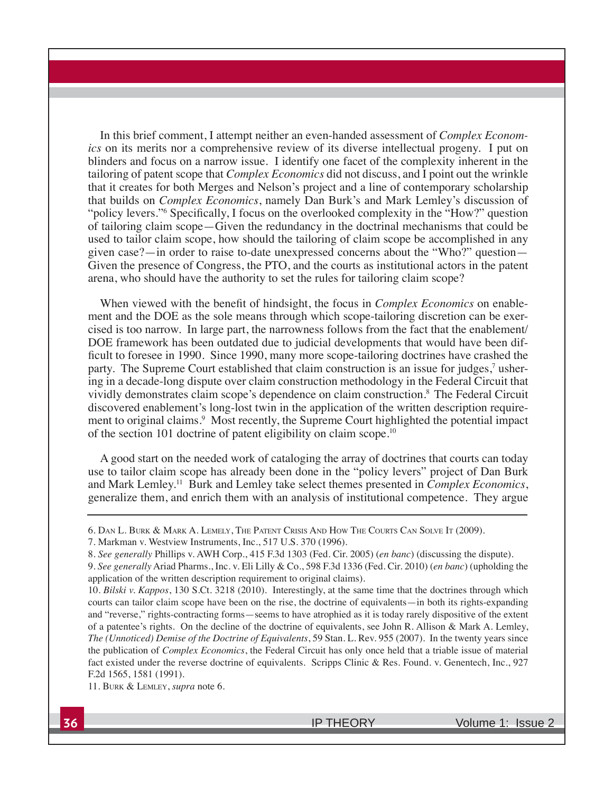In this brief comment, I attempt neither an even-handed assessment of *Complex Economics* on its merits nor a comprehensive review of its diverse intellectual progeny. I put on blinders and focus on a narrow issue. I identify one facet of the complexity inherent in the tailoring of patent scope that *Complex Economics* did not discuss, and I point out the wrinkle that it creates for both Merges and Nelson's project and a line of contemporary scholarship that builds on *Complex Economics*, namely Dan Burk's and Mark Lemley's discussion of "policy levers."<sup>6</sup> Specifically, I focus on the overlooked complexity in the "How?" question of tailoring claim scope—Given the redundancy in the doctrinal mechanisms that could be used to tailor claim scope, how should the tailoring of claim scope be accomplished in any given case?—in order to raise to-date unexpressed concerns about the "Who?" question— Given the presence of Congress, the PTO, and the courts as institutional actors in the patent arena, who should have the authority to set the rules for tailoring claim scope?

When viewed with the benefit of hindsight, the focus in *Complex Economics* on enablement and the DOE as the sole means through which scope-tailoring discretion can be exercised is too narrow. In large part, the narrowness follows from the fact that the enablement/ DOE framework has been outdated due to judicial developments that would have been difficult to foresee in 1990. Since 1990, many more scope-tailoring doctrines have crashed the party. The Supreme Court established that claim construction is an issue for judges,<sup>7</sup> ushering in a decade-long dispute over claim construction methodology in the Federal Circuit that vividly demonstrates claim scope's dependence on claim construction.8 The Federal Circuit discovered enablement's long-lost twin in the application of the written description requirement to original claims.<sup>9</sup> Most recently, the Supreme Court highlighted the potential impact of the section 101 doctrine of patent eligibility on claim scope.10

A good start on the needed work of cataloging the array of doctrines that courts can today use to tailor claim scope has already been done in the "policy levers" project of Dan Burk and Mark Lemley.<sup>11</sup> Burk and Lemley take select themes presented in *Complex Economics*, generalize them, and enrich them with an analysis of institutional competence. They argue

11. BURK & LEMLEY, *supra* note 6.

<sup>6.</sup> DAN L. BURK & MARK A. LEMELY, THE PATENT CRISIS AND HOW THE COURTS CAN SOLVE IT (2009).

<sup>7.</sup> Markman v. Westview Instruments, Inc., 517 U.S. 370 (1996).

<sup>8.</sup> See generally Phillips v. AWH Corp., 415 F.3d 1303 (Fed. Cir. 2005) (en banc) (discussing the dispute).

<sup>9.</sup> See generally Ariad Pharms., Inc. v. Eli Lilly & Co., 598 F.3d 1336 (Fed. Cir. 2010) (en banc) (upholding the application of the written description requirement to original claims).

<sup>10.</sup> *Bilski v. Kappos*, 130 S.Ct. 3218 (2010). Interestingly, at the same time that the doctrines through which courts can tailor claim scope have been on the rise, the doctrine of equivalents—in both its rights-expanding and "reverse," rights-contracting forms—seems to have atrophied as it is today rarely dispositive of the extent of a patentee's rights. On the decline of the doctrine of equivalents, see John R. Allison & Mark A. Lemley, *The (Unnoticed) Demise of the Doctrine of Equivalents*, 59 Stan. L. Rev. 955 (2007). In the twenty years since the publication of *Complex Economics*, the Federal Circuit has only once held that a triable issue of material fact existed under the reverse doctrine of equivalents. Scripps Clinic & Res. Found. v. Genentech, Inc., 927 F.2d 1565, 1581 (1991).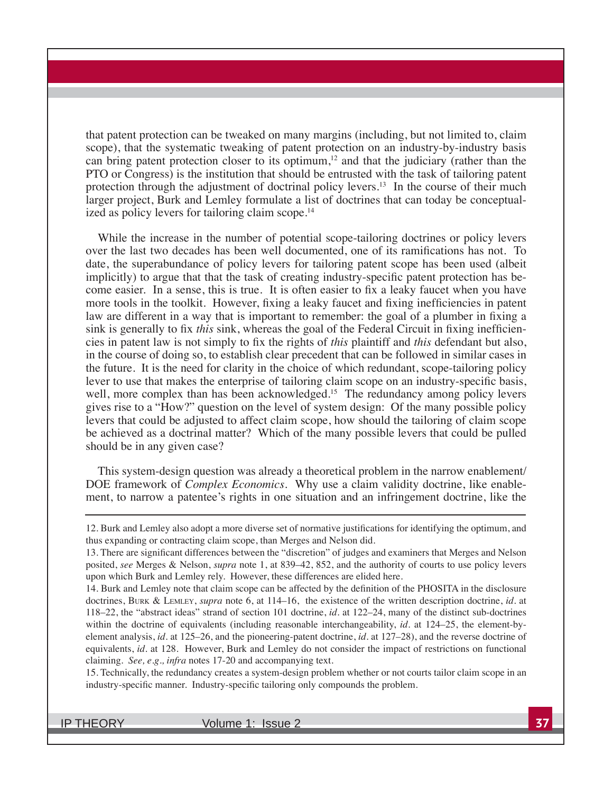that patent protection can be tweaked on many margins (including, but not limited to, claim scope), that the systematic tweaking of patent protection on an industry-by-industry basis can bring patent protection closer to its optimum,<sup>12</sup> and that the judiciary (rather than the PTO or Congress) is the institution that should be entrusted with the task of tailoring patent protection through the adjustment of doctrinal policy levers.<sup>13</sup> In the course of their much larger project, Burk and Lemley formulate a list of doctrines that can today be conceptualized as policy levers for tailoring claim scope.<sup>14</sup>

While the increase in the number of potential scope-tailoring doctrines or policy levers over the last two decades has been well documented, one of its ramifications has not. To date, the superabundance of policy levers for tailoring patent scope has been used (albeit implicitly) to argue that that the task of creating industry-specific patent protection has become easier. In a sense, this is true. It is often easier to fix a leaky faucet when you have more tools in the toolkit. However, fixing a leaky faucet and fixing inefficiencies in patent law are different in a way that is important to remember: the goal of a plumber in fixing a sink is generally to fix *this* sink, whereas the goal of the Federal Circuit in fixing inefficienrecises in patent law is not simply to fix the rights of *this* plaintiff and *this* defendant but also, in the course of doing so, to establish clear precedent that can be followed in similar cases in the future. It is the need for clarity in the choice of which redundant, scope-tailoring policy lever to use that makes the enterprise of tailoring claim scope on an industry-specific basis, well, more complex than has been acknowledged.<sup>15</sup> The redundancy among policy levers gives rise to a "How?" question on the level of system design: Of the many possible policy levers that could be adjusted to affect claim scope, how should the tailoring of claim scope be achieved as a doctrinal matter? Which of the many possible levers that could be pulled should be in any given case?

This system-design question was already a theoretical problem in the narrow enablement/ DOE framework of *Complex Economics*. Why use a claim validity doctrine, like enablement, to narrow a patentee's rights in one situation and an infringement doctrine, like the

15. Technically, the redundancy creates a system-design problem whether or not courts tailor claim scope in an industry-specific manner. Industry-specific tailoring only compounds the problem.

IP THEORY Volume 1: Issue 2 **37**

<sup>12.</sup> Burk and Lemley also adopt a more diverse set of normative justifications for identifying the optimum, and thus expanding or contracting claim scope, than Merges and Nelson did.

<sup>13.</sup> There are significant differences between the "discretion" of judges and examiners that Merges and Nelson posited, *see* Merges & Nelson, *supra* note 1, at 839–42, 852, and the authority of courts to use policy levers upon which Burk and Lemley rely. However, these differences are elided here.

<sup>14.</sup> Burk and Lemley note that claim scope can be affected by the definition of the PHOSITA in the disclosure doctrines, BURK & LEMLEY, *supra* note 6, at 114–16, the existence of the written description doctrine, id. at 118–22, the "abstract ideas" strand of section 101 doctrine, *id*. at 122–24, many of the distinct sub-doctrines within the doctrine of equivalents (including reasonable interchangeability, *id.* at 124–25, the element-byelement analysis, *id.* at 125–26, and the pioneering-patent doctrine, *id.* at 127–28), and the reverse doctrine of equivalents, *id.* at 128. However, Burk and Lemley do not consider the impact of restrictions on functional claiming. *See, e.g., infra* notes  $17-20$  and accompanying text.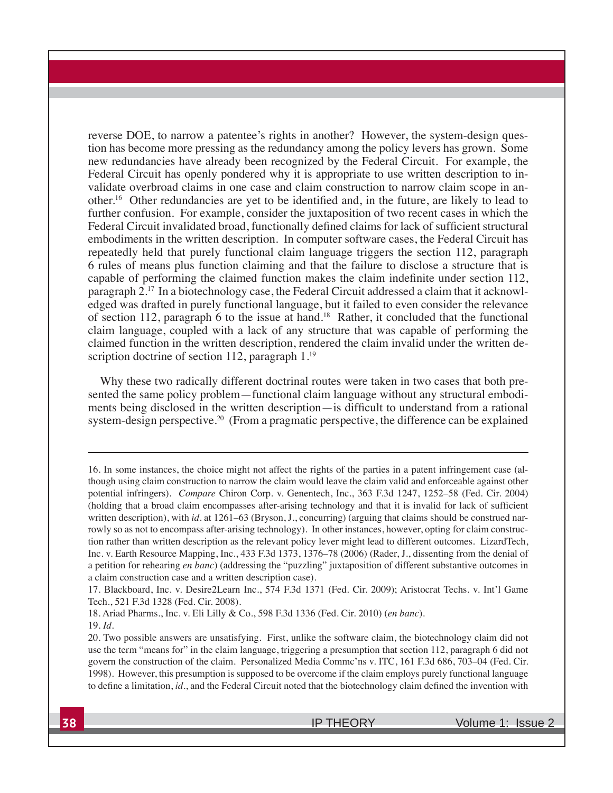reverse DOE, to narrow a patentee's rights in another? However, the system-design question has become more pressing as the redundancy among the policy levers has grown. Some new redundancies have already been recognized by the Federal Circuit. For example, the Federal Circuit has openly pondered why it is appropriate to use written description to invalidate overbroad claims in one case and claim construction to narrow claim scope in another.<sup>16</sup> Other redundancies are vet to be identified and, in the future, are likely to lead to further confusion. For example, consider the juxtaposition of two recent cases in which the Federal Circuit invalidated broad, functionally defined claims for lack of sufficient structural embodiments in the written description. In computer software cases, the Federal Circuit has repeatedly held that purely functional claim language triggers the section 112, paragraph 6 rules of means plus function claiming and that the failure to disclose a structure that is capable of performing the claimed function makes the claim indefinite under section  $112$ , paragraph 2.<sup>17</sup> In a biotechnology case, the Federal Circuit addressed a claim that it acknowledged was drafted in purely functional language, but it failed to even consider the relevance of section 112, paragraph 6 to the issue at hand.<sup>18</sup> Rather, it concluded that the functional claim language, coupled with a lack of any structure that was capable of performing the claimed function in the written description, rendered the claim invalid under the written description doctrine of section 112, paragraph  $1.^{19}$ 

Why these two radically different doctrinal routes were taken in two cases that both presented the same policy problem—functional claim language without any structural embodiments being disclosed in the written description—is difficult to understand from a rational system-design perspective.<sup>20</sup> (From a pragmatic perspective, the difference can be explained

<sup>16.</sup> In some instances, the choice might not affect the rights of the parties in a patent infringement case (although using claim construction to narrow the claim would leave the claim valid and enforceable against other potential infringers). *Compare* Chiron Corp. v. Genentech, Inc., 363 F.3d 1247, 1252–58 (Fed. Cir. 2004) (holding that a broad claim encompasses after-arising technology and that it is invalid for lack of sufficient written description), with *id.* at  $1261-63$  (Bryson, J., concurring) (arguing that claims should be construed narrowly so as not to encompass after-arising technology). In other instances, however, opting for claim construction rather than written description as the relevant policy lever might lead to different outcomes. LizardTech, Inc. v. Earth Resource Mapping, Inc., 433 F.3d 1373, 1376–78 (2006) (Rader, J., dissenting from the denial of a petition for rehearing *en banc*) (addressing the "puzzling" juxtaposition of different substantive outcomes in a claim construction case and a written description case).

<sup>17.</sup> Blackboard, Inc. v. Desire2Learn Inc., 574 F.3d 1371 (Fed. Cir. 2009); Aristocrat Techs. v. Int'l Game Tech., 521 F.3d 1328 (Fed. Cir. 2008).

<sup>18.</sup> Ariad Pharms., Inc. v. Eli Lilly & Co., 598 F.3d 1336 (Fed. Cir. 2010) (en banc).

<sup>19.</sup> *Id*.

<sup>20.</sup> Two possible answers are unsatisfying. First, unlike the software claim, the biotechnology claim did not use the term "means for" in the claim language, triggering a presumption that section 112, paragraph 6 did not govern the construction of the claim. Personalized Media Commc'ns v. ITC, 161 F.3d 686, 703–04 (Fed. Cir. 1998). However, this presumption is supposed to be overcome if the claim employs purely functional language to define a limitation, *id.*, and the Federal Circuit noted that the biotechnology claim defined the invention with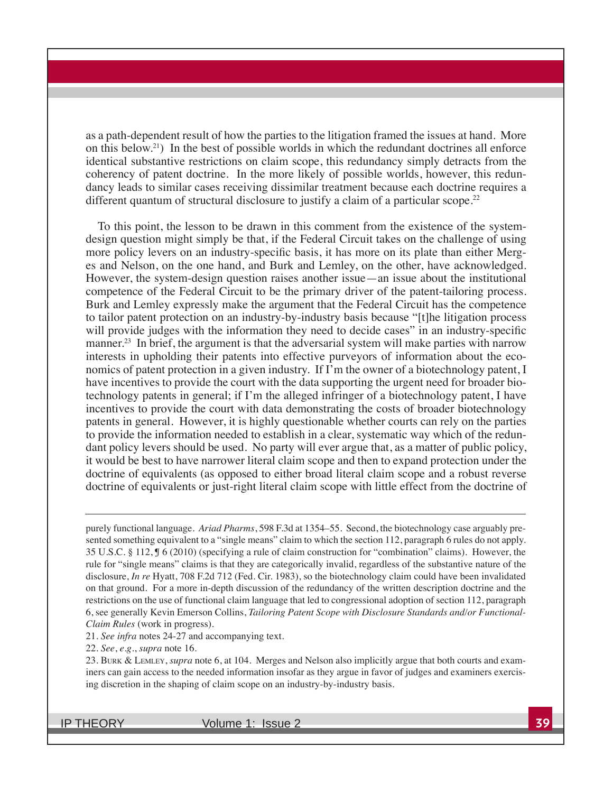as a path-dependent result of how the parties to the litigation framed the issues at hand. More on this below.<sup>21</sup>) In the best of possible worlds in which the redundant doctrines all enforce identical substantive restrictions on claim scope, this redundancy simply detracts from the coherency of patent doctrine. In the more likely of possible worlds, however, this redundancy leads to similar cases receiving dissimilar treatment because each doctrine requires a different quantum of structural disclosure to justify a claim of a particular scope.<sup>22</sup>

To this point, the lesson to be drawn in this comment from the existence of the systemdesign question might simply be that, if the Federal Circuit takes on the challenge of using more policy levers on an industry-specific basis, it has more on its plate than either Merges and Nelson, on the one hand, and Burk and Lemley, on the other, have acknowledged. However, the system-design question raises another issue—an issue about the institutional competence of the Federal Circuit to be the primary driver of the patent-tailoring process. Burk and Lemley expressly make the argument that the Federal Circuit has the competence to tailor patent protection on an industry-by-industry basis because "[t]he litigation process will provide judges with the information they need to decide cases" in an industry-specific manner.<sup>23</sup> In brief, the argument is that the adversarial system will make parties with narrow interests in upholding their patents into effective purveyors of information about the economics of patent protection in a given industry. If I'm the owner of a biotechnology patent, I have incentives to provide the court with the data supporting the urgent need for broader biotechnology patents in general; if I'm the alleged infringer of a biotechnology patent, I have incentives to provide the court with data demonstrating the costs of broader biotechnology patents in general. However, it is highly questionable whether courts can rely on the parties to provide the information needed to establish in a clear, systematic way which of the redundant policy levers should be used. No party will ever argue that, as a matter of public policy, it would be best to have narrower literal claim scope and then to expand protection under the doctrine of equivalents (as opposed to either broad literal claim scope and a robust reverse doctrine of equivalents or just-right literal claim scope with little effect from the doctrine of

purely functional language. *Ariad Pharms*, 598 F.3d at 1354–55. Second, the biotechnology case arguably presented something equivalent to a "single means" claim to which the section 112, paragraph 6 rules do not apply. 35 U.S.C. § 112,  $\P$  6 (2010) (specifying a rule of claim construction for "combination" claims). However, the rule for "single means" claims is that they are categorically invalid, regardless of the substantive nature of the disclosure, *In re* Hyatt, 708 F.2d 712 (Fed. Cir. 1983), so the biotechnology claim could have been invalidated on that ground. For a more in-depth discussion of the redundancy of the written description doctrine and the restrictions on the use of functional claim language that led to congressional adoption of section 112, paragraph 6, see generally Kevin Emerson Collins, *Tailoring Patent Scope with Disclosure Standards and/or Functional-Claim Rules* (work in progress).

21. *See infra* notes 24-27 and accompanying text.

22. *See*, *e.g.*, *supra* note 16.

23. BURK & LEMLEY, *supra* note 6, at 104. Merges and Nelson also implicitly argue that both courts and examiners can gain access to the needed information insofar as they argue in favor of judges and examiners exercising discretion in the shaping of claim scope on an industry-by-industry basis.

IP THEORY Volume 1: Issue 2 **39**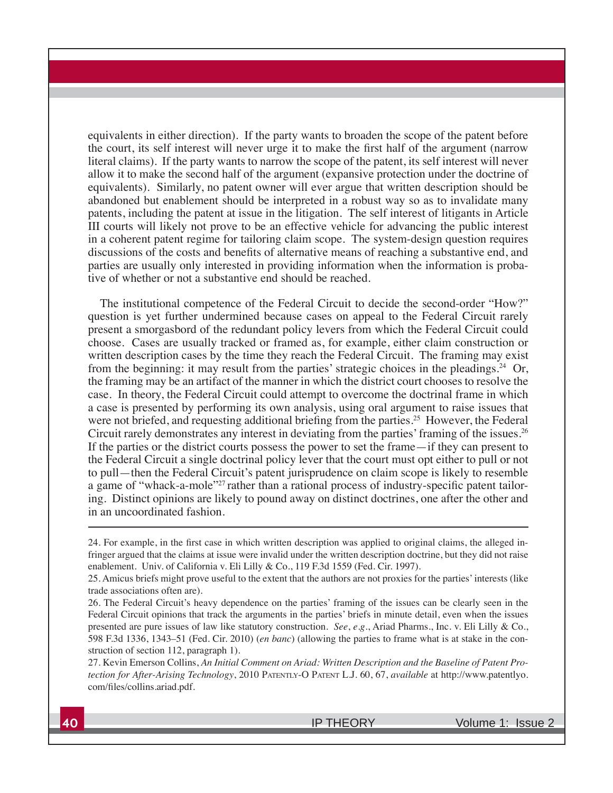equivalents in either direction). If the party wants to broaden the scope of the patent before the court, its self interest will never urge it to make the first half of the argument (narrow literal claims). If the party wants to narrow the scope of the patent, its self interest will never allow it to make the second half of the argument (expansive protection under the doctrine of equivalents). Similarly, no patent owner will ever argue that written description should be abandoned but enablement should be interpreted in a robust way so as to invalidate many patents, including the patent at issue in the litigation. The self interest of litigants in Article III courts will likely not prove to be an effective vehicle for advancing the public interest in a coherent patent regime for tailoring claim scope. The system-design question requires discussions of the costs and benefits of alternative means of reaching a substantive end, and parties are usually only interested in providing information when the information is probative of whether or not a substantive end should be reached.

The institutional competence of the Federal Circuit to decide the second-order "How?" question is yet further undermined because cases on appeal to the Federal Circuit rarely present a smorgasbord of the redundant policy levers from which the Federal Circuit could choose. Cases are usually tracked or framed as, for example, either claim construction or written description cases by the time they reach the Federal Circuit. The framing may exist from the beginning: it may result from the parties' strategic choices in the pleadings.<sup>24</sup> Or, the framing may be an artifact of the manner in which the district court chooses to resolve the case. In theory, the Federal Circuit could attempt to overcome the doctrinal frame in which a case is presented by performing its own analysis, using oral argument to raise issues that were not briefed, and requesting additional briefing from the parties.<sup>25</sup> However, the Federal Circuit rarely demonstrates any interest in deviating from the parties' framing of the issues.<sup>26</sup> If the parties or the district courts possess the power to set the frame—if they can present to the Federal Circuit a single doctrinal policy lever that the court must opt either to pull or not to pull—then the Federal Circuit's patent jurisprudence on claim scope is likely to resemble a game of "whack-a-mole"<sup>27</sup> rather than a rational process of industry-specific patent tailoring. Distinct opinions are likely to pound away on distinct doctrines, one after the other and in an uncoordinated fashion.

24. For example, in the first case in which written description was applied to original claims, the alleged infringer argued that the claims at issue were invalid under the written description doctrine, but they did not raise enablement. Univ. of California v. Eli Lilly & Co., 119 F.3d 1559 (Fed. Cir. 1997).

25. Amicus briefs might prove useful to the extent that the authors are not proxies for the parties' interests (like trade associations often are).

26. The Federal Circuit's heavy dependence on the parties' framing of the issues can be clearly seen in the Federal Circuit opinions that track the arguments in the parties' briefs in minute detail, even when the issues presented are pure issues of law like statutory construction. *See*, *e.g*., Ariad Pharms., Inc. v. Eli Lilly & Co., 598 F.3d 1336, 1343–51 (Fed. Cir. 2010) (en banc) (allowing the parties to frame what is at stake in the construction of section 112, paragraph 1).

27. Kevin Emerson Collins, An Initial Comment on Ariad: Written Description and the Baseline of Patent Pro*tection for After-Arising Technology*, 2010 PATENTLY-O PATENT L.J. 60, 67, *available* at http://www.patentlyo. com/files/collins.ariad.pdf.